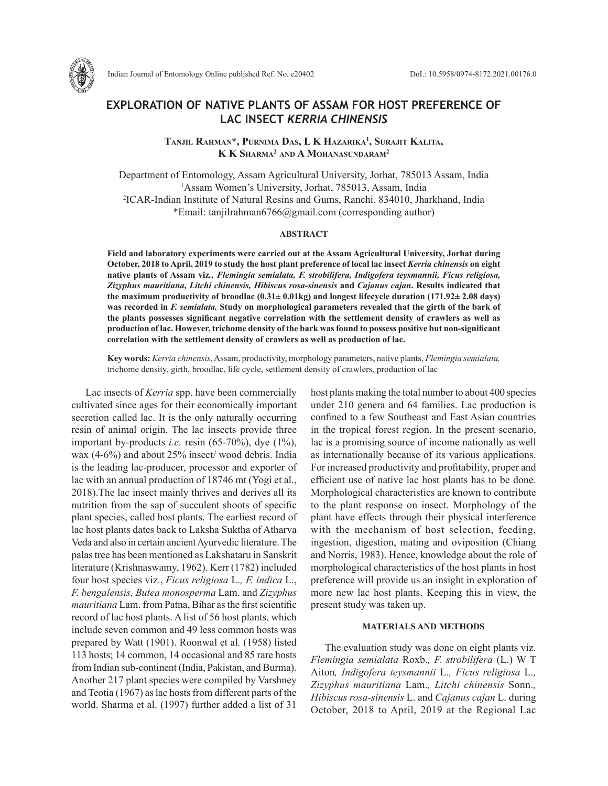

Indian Journal of Entomology Online published Ref. No. e20402 DoI.: 10.5958/0974-8172.2021.00176.0

# **EXPLORATION OF NATIVE PLANTS OF ASSAM FOR HOST PREFERENCE OF LAC INSECT** *KERRIA CHINENSIS*

**Tanjil Rahman\*, Purnima Das, L K Hazarika1 , Surajit Kalita, K K Sharma2 and A Mohanasundaram2**

Department of Entomology, Assam Agricultural University, Jorhat, 785013 Assam, India <sup>1</sup>Assam Women's University, Jorhat, 785013, Assam, India 2 ICAR-Indian Institute of Natural Resins and Gums, Ranchi, 834010, Jharkhand, India \*Email: tanjilrahman6766@gmail.com (corresponding author)

### **ABSTRACT**

**Field and laboratory experiments were carried out at the Assam Agricultural University, Jorhat during October, 2018 to April, 2019 to study the host plant preference of local lac insect** *Kerria chinensis* **on eight native plants of Assam viz***., Flemingia semialata, F. strobilifera, Indigofera teysmannii, Ficus religiosa, Zizyphus mauritiana, Litchi chinensis, Hibiscus rosa-sinensis* **and** *Cajanus cajan***. Results indicated that the maximum productivity of broodlac (0.31± 0.01kg) and longest lifecycle duration (171.92± 2.08 days) was recorded in** *F. semialata.* **Study on morphological parameters revealed that the girth of the bark of the plants possesses significant negative correlation with the settlement density of crawlers as well as production of lac. However, trichome density of the bark was found to possess positive but non-significant correlation with the settlement density of crawlers as well as production of lac.**

**Key words:** *Kerria chinensis*, Assam, productivity, morphology parameters, native plants, *Flemingia semialata,*  trichome density, girth, broodlac, life cycle, settlement density of crawlers, production of lac

Lac insects of *Kerria* spp. have been commercially cultivated since ages for their economically important secretion called lac. It is the only naturally occurring resin of animal origin. The lac insects provide three important by-products *i.e.* resin (65-70%), dye (1%), wax (4-6%) and about 25% insect/ wood debris. India is the leading lac-producer, processor and exporter of lac with an annual production of 18746 mt (Yogi et al., 2018).The lac insect mainly thrives and derives all its nutrition from the sap of succulent shoots of specific plant species, called host plants. The earliest record of lac host plants dates back to Laksha Suktha of Atharva Veda and also in certain ancient Ayurvedic literature. The palas tree has been mentioned as Lakshataru in Sanskrit literature (Krishnaswamy, 1962). Kerr (1782) included four host species viz., *Ficus religiosa* L.*, F. indica* L., *F. bengalensis, Butea monosperma* Lam. and *Zizyphus mauritiana* Lam. from Patna, Bihar as the first scientific record of lac host plants. A list of 56 host plants, which include seven common and 49 less common hosts was prepared by Watt (1901). Roonwal et al*.* (1958) listed 113 hosts; 14 common, 14 occasional and 85 rare hosts from Indian sub-continent (India, Pakistan, and Burma). Another 217 plant species were compiled by Varshney and Teotia (1967) as lac hosts from different parts of the world. Sharma et al. (1997) further added a list of 31

host plants making the total number to about 400 species under 210 genera and 64 families. Lac production is confined to a few Southeast and East Asian countries in the tropical forest region. In the present scenario, lac is a promising source of income nationally as well as internationally because of its various applications. For increased productivity and profitability, proper and efficient use of native lac host plants has to be done. Morphological characteristics are known to contribute to the plant response on insect. Morphology of the plant have effects through their physical interference with the mechanism of host selection, feeding, ingestion, digestion, mating and oviposition (Chiang and Norris, 1983). Hence, knowledge about the role of morphological characteristics of the host plants in host preference will provide us an insight in exploration of more new lac host plants. Keeping this in view, the present study was taken up.

## **MATERIALS AND METHODS**

The evaluation study was done on eight plants viz. *Flemingia semialata* Roxb.*, F. strobilifera* (L.) W T Aiton*, Indigofera teysmannii* L.*, Ficus religiosa* L.*, Zizyphus mauritiana* Lam.*, Litchi chinensis* Sonn.*, Hibiscus rosa-sinensis* L. and *Cajanus cajan* L. during October, 2018 to April, 2019 at the Regional Lac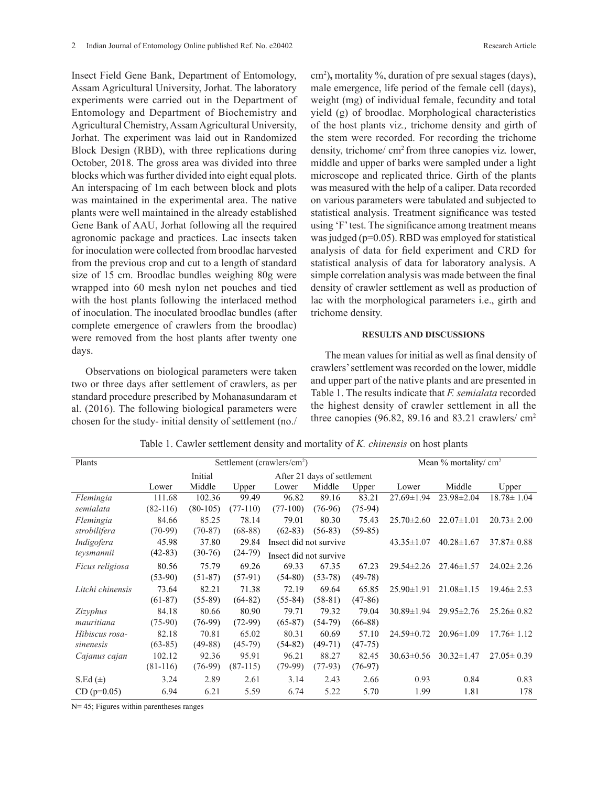Insect Field Gene Bank, Department of Entomology, Assam Agricultural University, Jorhat. The laboratory experiments were carried out in the Department of Entomology and Department of Biochemistry and Agricultural Chemistry, Assam Agricultural University, Jorhat. The experiment was laid out in Randomized Block Design (RBD), with three replications during October, 2018. The gross area was divided into three blocks which was further divided into eight equal plots. An interspacing of 1m each between block and plots was maintained in the experimental area. The native plants were well maintained in the already established Gene Bank of AAU, Jorhat following all the required agronomic package and practices. Lac insects taken for inoculation were collected from broodlac harvested from the previous crop and cut to a length of standard size of 15 cm. Broodlac bundles weighing 80g were wrapped into 60 mesh nylon net pouches and tied with the host plants following the interlaced method of inoculation. The inoculated broodlac bundles (after complete emergence of crawlers from the broodlac) were removed from the host plants after twenty one days.

Observations on biological parameters were taken two or three days after settlement of crawlers, as per standard procedure prescribed by Mohanasundaram et al. (2016). The following biological parameters were chosen for the study- initial density of settlement (no./

cm2 )**,** mortality %, duration of pre sexual stages (days), male emergence, life period of the female cell (days), weight (mg) of individual female, fecundity and total yield (g) of broodlac. Morphological characteristics of the host plants viz*.,* trichome density and girth of the stem were recorded. For recording the trichome density, trichome/ cm2 from three canopies viz*.* lower, middle and upper of barks were sampled under a light microscope and replicated thrice. Girth of the plants was measured with the help of a caliper. Data recorded on various parameters were tabulated and subjected to statistical analysis. Treatment significance was tested using 'F' test. The significance among treatment means was judged (p=0.05). RBD was employed for statistical analysis of data for field experiment and CRD for statistical analysis of data for laboratory analysis. A simple correlation analysis was made between the final density of crawler settlement as well as production of lac with the morphological parameters i.e., girth and trichome density.

#### **RESULTS AND DISCUSSIONS**

The mean values for initial as well as final density of crawlers' settlement was recorded on the lower, middle and upper part of the native plants and are presented in Table 1. The results indicate that *F. semialata* recorded the highest density of crawler settlement in all the three canopies (96.82, 89.16 and 83.21 crawlers/ cm2

| Plants           | Settlement (crawlers/cm <sup>2</sup> ) |            |            |                        |                             | Mean % mortality/ cm <sup>2</sup> |                  |                  |                  |
|------------------|----------------------------------------|------------|------------|------------------------|-----------------------------|-----------------------------------|------------------|------------------|------------------|
|                  |                                        | Initial    |            |                        | After 21 days of settlement |                                   |                  |                  |                  |
|                  | Lower                                  | Middle     | Upper      | Lower                  | Middle                      | Upper                             | Lower            | Middle           | Upper            |
| Flemingia        | 111.68                                 | 102.36     | 99.49      | 96.82                  | 89.16                       | 83.21                             | $27.69 \pm 1.94$ | $23.98 \pm 2.04$ | $18.78 \pm 1.04$ |
| semialata        | $(82-116)$                             | $(80-105)$ | $(77-110)$ | $(77-100)$             | $(76-96)$                   | $(75-94)$                         |                  |                  |                  |
| Flemingia        | 84.66                                  | 85.25      | 78.14      | 79.01                  | 80.30                       | 75.43                             | $25.70 \pm 2.60$ | $22.07 \pm 1.01$ | $20.73 \pm 2.00$ |
| strobilifera     | $(70-99)$                              | $(70-87)$  | $(68-88)$  | $(62-83)$              | $(56-83)$                   | $(59-85)$                         |                  |                  |                  |
| Indigofera       | 45.98                                  | 37.80      | 29.84      | Insect did not survive |                             | $43.35 \pm 1.07$                  | $40.28 \pm 1.67$ | $37.87 \pm 0.88$ |                  |
| teysmannii       | $(42-83)$                              | $(30-76)$  | $(24-79)$  | Insect did not survive |                             |                                   |                  |                  |                  |
| Ficus religiosa  | 80.56                                  | 75.79      | 69.26      | 69.33                  | 67.35                       | 67.23                             | $29.54 \pm 2.26$ | $27.46 \pm 1.57$ | $24.02 \pm 2.26$ |
|                  | $(53-90)$                              | $(51-87)$  | $(57-91)$  | $(54-80)$              | $(53-78)$                   | $(49-78)$                         |                  |                  |                  |
| Litchi chinensis | 73.64                                  | 82.21      | 71.38      | 72.19                  | 69.64                       | 65.85                             | $25.90 \pm 1.91$ | $21.08 \pm 1.15$ | $19.46 \pm 2.53$ |
|                  | $(61-87)$                              | $(55-89)$  | $(64-82)$  | $(55-84)$              | $(58-81)$                   | $(47-86)$                         |                  |                  |                  |
| <i>Zizyphus</i>  | 84.18                                  | 80.66      | 80.90      | 79.71                  | 79.32                       | 79.04                             | $30.89 \pm 1.94$ | $29.95 \pm 2.76$ | $25.26 \pm 0.82$ |
| mauritiana       | $(75-90)$                              | $(76-99)$  | $(72-99)$  | $(65-87)$              | $(54-79)$                   | $(66-88)$                         |                  |                  |                  |
| Hibiscus rosa-   | 82.18                                  | 70.81      | 65.02      | 80.31                  | 60.69                       | 57.10                             | $24.59 \pm 0.72$ | $20.96 \pm 1.09$ | $17.76 \pm 1.12$ |
| sinenesis        | $(63-85)$                              | $(49-88)$  | $(45-79)$  | $(54-82)$              | $(49-71)$                   | $(47-75)$                         |                  |                  |                  |
| Cajanus cajan    | 102.12                                 | 92.36      | 95.91      | 96.21                  | 88.27                       | 82.45                             | $30.63 \pm 0.56$ | $30.32 \pm 1.47$ | $27.05 \pm 0.39$ |
|                  | $(81-116)$                             | $(76-99)$  | $(87-115)$ | $(79-99)$              | $(77-93)$                   | $(76-97)$                         |                  |                  |                  |
| S.Ed $(\pm)$     | 3.24                                   | 2.89       | 2.61       | 3.14                   | 2.43                        | 2.66                              | 0.93             | 0.84             | 0.83             |
| $CD (p=0.05)$    | 6.94                                   | 6.21       | 5.59       | 6.74                   | 5.22                        | 5.70                              | 1.99             | 1.81             | 178              |

Table 1. Cawler settlement density and mortality of *K. chinensis* on host plants

N= 45; Figures within parentheses ranges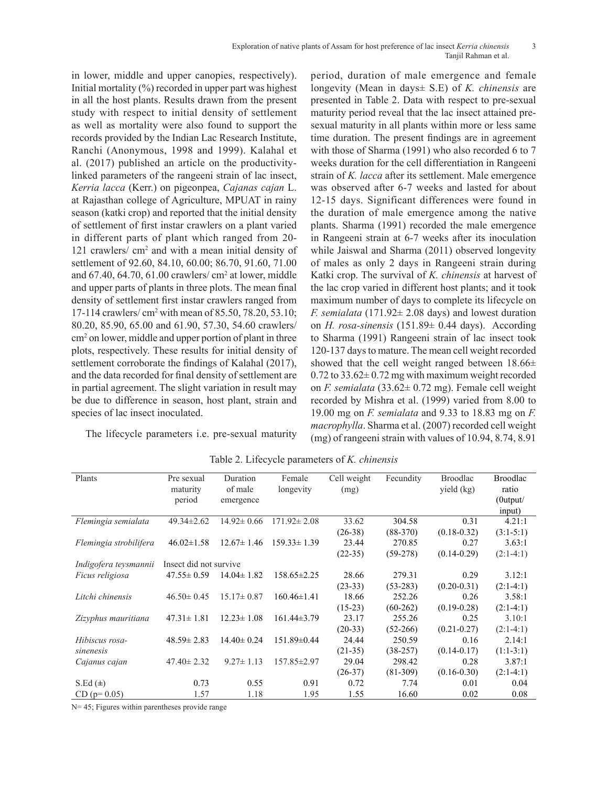in lower, middle and upper canopies, respectively). Initial mortality  $(\%)$  recorded in upper part was highest in all the host plants. Results drawn from the present study with respect to initial density of settlement as well as mortality were also found to support the records provided by the Indian Lac Research Institute, Ranchi (Anonymous, 1998 and 1999). Kalahal et al. (2017) published an article on the productivitylinked parameters of the rangeeni strain of lac insect, *Kerria lacca* (Kerr.) on pigeonpea, *Cajanas cajan* L. at Rajasthan college of Agriculture, MPUAT in rainy season (katki crop) and reported that the initial density of settlement of first instar crawlers on a plant varied in different parts of plant which ranged from 20- 121 crawlers/ cm<sup>2</sup> and with a mean initial density of settlement of 92.60, 84.10, 60.00; 86.70, 91.60, 71.00 and  $67.40$ ,  $64.70$ ,  $61.00$  crawlers/cm<sup>2</sup> at lower, middle and upper parts of plants in three plots. The mean final density of settlement first instar crawlers ranged from 17-114 crawlers/ cm<sup>2</sup> with mean of 85.50, 78.20, 53.10; 80.20, 85.90, 65.00 and 61.90, 57.30, 54.60 crawlers/ cm2 on lower, middle and upper portion of plant in three plots, respectively. These results for initial density of settlement corroborate the findings of Kalahal (2017), and the data recorded for final density of settlement are in partial agreement. The slight variation in result may be due to difference in season, host plant, strain and species of lac insect inoculated.

The lifecycle parameters i.e. pre-sexual maturity

period, duration of male emergence and female longevity (Mean in days± S.E) of *K. chinensis* are presented in Table 2. Data with respect to pre-sexual maturity period reveal that the lac insect attained presexual maturity in all plants within more or less same time duration. The present findings are in agreement with those of Sharma (1991) who also recorded 6 to 7 weeks duration for the cell differentiation in Rangeeni strain of *K. lacca* after its settlement. Male emergence was observed after 6-7 weeks and lasted for about 12-15 days. Significant differences were found in the duration of male emergence among the native plants. Sharma (1991) recorded the male emergence in Rangeeni strain at 6-7 weeks after its inoculation while Jaiswal and Sharma (2011) observed longevity of males as only 2 days in Rangeeni strain during Katki crop. The survival of *K. chinensis* at harvest of the lac crop varied in different host plants; and it took maximum number of days to complete its lifecycle on *F. semialata* (171.92± 2.08 days) and lowest duration on *H. rosa-sinensis* (151.89± 0.44 days). According to Sharma (1991) Rangeeni strain of lac insect took 120-137 days to mature. The mean cell weight recorded showed that the cell weight ranged between  $18.66\pm$  $0.72$  to  $33.62 \pm 0.72$  mg with maximum weight recorded on *F. semialata* (33.62± 0.72 mg). Female cell weight recorded by Mishra et al. (1999) varied from 8.00 to 19.00 mg on *F. semialata* and 9.33 to 18.83 mg on *F. macrophylla*. Sharma et al. (2007) recorded cell weight (mg) of rangeenistrain with values of 10.94, 8.74, 8.91

| Plants                 | Pre sexual<br>maturity | Duration<br>of male | Female<br>longevity | Cell weight<br>(mg) | Fecundity  | <b>Broodlac</b><br>yield (kg) | <b>Broodlac</b><br>ratio |  |
|------------------------|------------------------|---------------------|---------------------|---------------------|------------|-------------------------------|--------------------------|--|
|                        | period                 | emergence           |                     |                     |            |                               | $(0$ utput $/$           |  |
|                        |                        |                     |                     |                     |            |                               | input)                   |  |
| Flemingia semialata    | 49.34±2.62             | $14.92 \pm 0.66$    | $171.92 \pm 2.08$   | 33.62               | 304.58     | 0.31                          | 4.21:1                   |  |
|                        |                        |                     |                     | $(26-38)$           | $(88-370)$ | $(0.18 - 0.32)$               | $(3:1-5:1)$              |  |
| Flemingia strobilifera | $46.02 \pm 1.58$       | $12.67 \pm 1.46$    | $159.33 \pm 1.39$   | 23.44               | 270.85     | 0.27                          | 3.63:1                   |  |
|                        |                        |                     |                     | $(22-35)$           | $(59-278)$ | $(0.14 - 0.29)$               | $(2:1-4:1)$              |  |
| Indigofera teysmannii  | Insect did not survive |                     |                     |                     |            |                               |                          |  |
| Ficus religiosa        | $47.55 \pm 0.59$       | $14.04 \pm 1.82$    | $158.65 \pm 2.25$   | 28.66               | 279.31     | 0.29                          | 3.12:1                   |  |
|                        |                        |                     |                     | $(23-33)$           | $(53-283)$ | $(0.20 - 0.31)$               | $(2:1-4:1)$              |  |
| Litchi chinensis       | $46.50 \pm 0.45$       | $15.17 \pm 0.87$    | $160.46 \pm 1.41$   | 18.66               | 252.26     | 0.26                          | 3.58:1                   |  |
|                        |                        |                     |                     | $(15-23)$           | $(60-262)$ | $(0.19 - 0.28)$               | $(2:1-4:1)$              |  |
| Zizyphus mauritiana    | $47.31 \pm 1.81$       | $12.23 \pm 1.08$    | $161.44\pm3.79$     | 23.17               | 255.26     | 0.25                          | 3.10:1                   |  |
|                        |                        |                     |                     | $(20-33)$           | $(52-266)$ | $(0.21 - 0.27)$               | $(2:1-4:1)$              |  |
| Hibiscus rosa-         | $48.59 \pm 2.83$       | $14.40 \pm 0.24$    | 151.89±0.44         | 24.44               | 250.59     | 0.16                          | 2.14:1                   |  |
| sinenesis              |                        |                     |                     | $(21-35)$           | $(38-257)$ | $(0.14 - 0.17)$               | $(1:1-3:1)$              |  |
| Cajanus cajan          | $47.40 \pm 2.32$       | $9.27 \pm 1.13$     | 157.85±2.97         | 29.04               | 298.42     | 0.28                          | 3.87:1                   |  |
|                        |                        |                     |                     | $(26-37)$           | $(81-309)$ | $(0.16 - 0.30)$               | $(2:1-4:1)$              |  |
| $S.Ed (\pm)$           | 0.73                   | 0.55                | 0.91                | 0.72                | 7.74       | 0.01                          | 0.04                     |  |
| $CD (p=0.05)$          | 1.57                   | 1.18                | 1.95                | 1.55                | 16.60      | 0.02                          | 0.08                     |  |

Table 2. Lifecycle parameters of *K. chinensis*

N= 45; Figures within parentheses provide range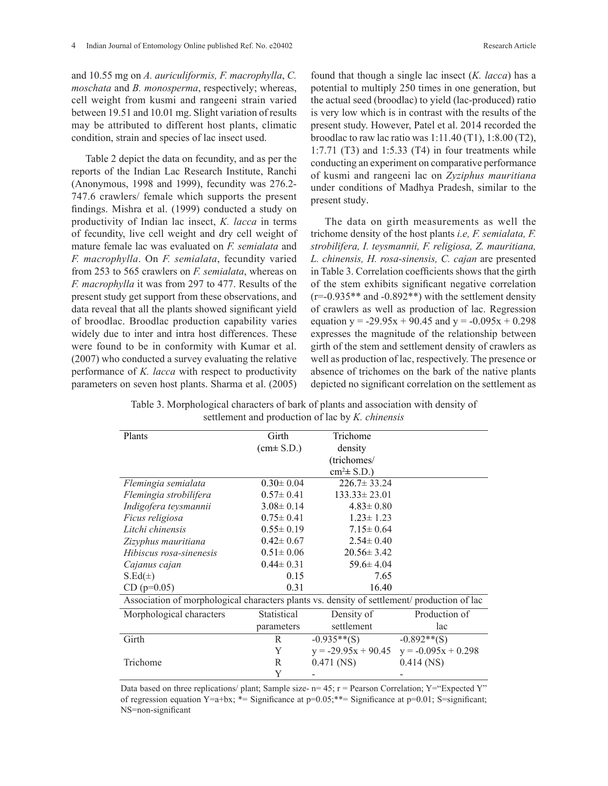and 10.55 mg on *A. auriculiformis, F. macrophylla*, *C. moschata* and *B. monosperma*, respectively; whereas, cell weight from kusmi and rangeeni strain varied between 19.51 and 10.01 mg. Slight variation of results may be attributed to different host plants, climatic condition, strain and species of lac insect used.

Table 2 depict the data on fecundity, and as per the reports of the Indian Lac Research Institute, Ranchi (Anonymous, 1998 and 1999), fecundity was 276.2- 747.6 crawlers/ female which supports the present findings. Mishra et al. (1999) conducted a study on productivity of Indian lac insect, *K. lacca* in terms of fecundity, live cell weight and dry cell weight of mature female lac was evaluated on *F. semialata* and *F. macrophylla*. On *F. semialata*, fecundity varied from 253 to 565 crawlers on *F. semialata*, whereas on *F. macrophylla* it was from 297 to 477. Results of the present study get support from these observations, and data reveal that all the plants showed significant yield of broodlac. Broodlac production capability varies widely due to inter and intra host differences. These were found to be in conformity with Kumar et al. (2007) who conducted a survey evaluating the relative performance of *K. lacca* with respect to productivity parameters on seven host plants. Sharma et al. (2005) found that though a single lac insect (*K. lacca*) has a potential to multiply 250 times in one generation, but the actual seed (broodlac) to yield (lac-produced) ratio is very low which is in contrast with the results of the present study. However, Patel et al. 2014 recorded the broodlac to raw lac ratio was 1:11.40 (T1), 1:8.00 (T2), 1:7.71 (T3) and 1:5.33 (T4) in four treatments while conducting an experiment on comparative performance of kusmi and rangeeni lac on *Zyziphus mauritiana*  under conditions of Madhya Pradesh, similar to the present study.

The data on girth measurements as well the trichome density of the host plants *i.e, F. semialata, F. strobilifera, I. teysmannii, F. religiosa, Z. mauritiana, L. chinensis, H. rosa-sinensis, C. cajan* are presented in Table 3. Correlation coefficients shows that the girth of the stem exhibits significant negative correlation  $(r=-0.935**$  and  $-0.892**$ ) with the settlement density of crawlers as well as production of lac. Regression equation  $y = -29.95x + 90.45$  and  $y = -0.095x + 0.298$ expresses the magnitude of the relationship between girth of the stem and settlement density of crawlers as well as production of lac, respectively. The presence or absence of trichomes on the bark of the native plants depicted no significant correlation on the settlement as

Table 3. Morphological characters of bark of plants and association with density of settlement and production of lac by *K. chinensis*

| Plants                                                                                      | Girth           | Trichome              |                       |  |  |  |
|---------------------------------------------------------------------------------------------|-----------------|-----------------------|-----------------------|--|--|--|
|                                                                                             | $(cm \pm S.D.)$ | density               |                       |  |  |  |
|                                                                                             |                 | (trichomes/           |                       |  |  |  |
|                                                                                             |                 | $cm2 \pm S.D.$ )      |                       |  |  |  |
| Flemingia semialata                                                                         | $0.30 \pm 0.04$ | $226.7 \pm 33.24$     |                       |  |  |  |
| Flemingia strobilifera                                                                      | $0.57 \pm 0.41$ | $133.33 \pm 23.01$    |                       |  |  |  |
| Indigofera teysmannii                                                                       | $3.08 \pm 0.14$ | $4.83 \pm 0.80$       |                       |  |  |  |
| Ficus religiosa                                                                             | $0.75 \pm 0.41$ | $1.23 \pm 1.23$       |                       |  |  |  |
| Litchi chinensis                                                                            | $0.55 \pm 0.19$ | $7.15 \pm 0.64$       |                       |  |  |  |
| Zizyphus mauritiana                                                                         | $0.42 \pm 0.67$ | $2.54 \pm 0.40$       |                       |  |  |  |
| Hibiscus rosa-sinenesis                                                                     | $0.51 \pm 0.06$ | $20.56 \pm 3.42$      |                       |  |  |  |
| Cajanus cajan                                                                               | $0.44 \pm 0.31$ | $59.6 \pm 4.04$       |                       |  |  |  |
| S.Ed(±)                                                                                     | 0.15            | 7.65                  |                       |  |  |  |
| $CD (p=0.05)$                                                                               | 0.31            | 16.40                 |                       |  |  |  |
| Association of morphological characters plants vs. density of settlement/ production of lac |                 |                       |                       |  |  |  |
| Morphological characters                                                                    | Statistical     | Density of            | Production of         |  |  |  |
|                                                                                             | parameters      | settlement            | lac                   |  |  |  |
| Girth                                                                                       | R               | $-0.935**$ (S)        | $-0.892**$ (S)        |  |  |  |
|                                                                                             | Y               | $y = -29.95x + 90.45$ | $y = -0.095x + 0.298$ |  |  |  |
| Trichome                                                                                    | R               | $0.471$ (NS)          | $0.414$ (NS)          |  |  |  |
|                                                                                             | Y               |                       |                       |  |  |  |

Data based on three replications/ plant; Sample size-  $n=45$ ;  $r =$  Pearson Correlation;  $Y =$ "Expected Y" of regression equation Y=a+bx; \*= Significance at  $p=0.05$ ; \*\*= Significance at  $p=0.01$ ; S=significant; NS=non-significant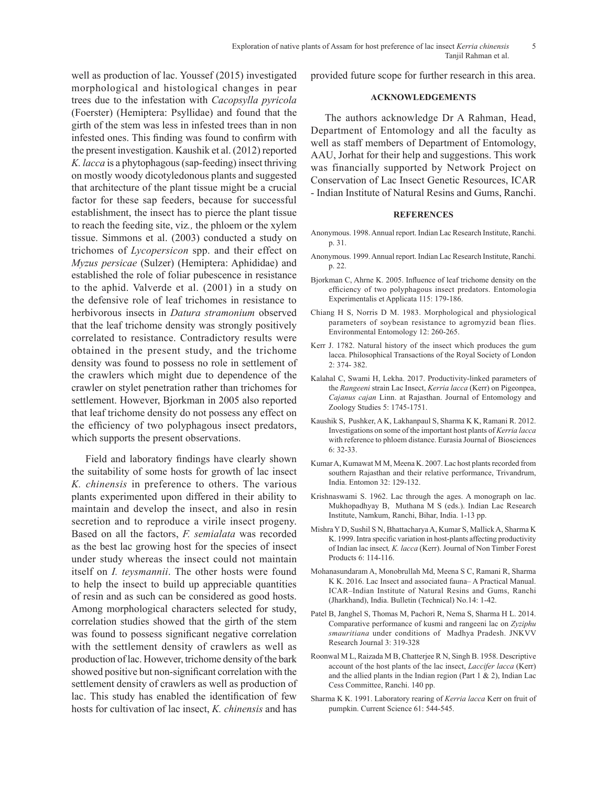well as production of lac. Youssef (2015) investigated morphological and histological changes in pear trees due to the infestation with *Cacopsylla pyricola* (Foerster) (Hemiptera: Psyllidae) and found that the girth of the stem was less in infested trees than in non infested ones. This finding was found to confirm with the present investigation. Kaushik et al. (2012) reported *K. lacca* is a phytophagous (sap-feeding) insect thriving on mostly woody dicotyledonous plants and suggested that architecture of the plant tissue might be a crucial factor for these sap feeders, because for successful establishment, the insect has to pierce the plant tissue to reach the feeding site, viz*.,* the phloem or the xylem tissue. Simmons et al. (2003) conducted a study on trichomes of *Lycopersicon* spp. and their effect on *Myzus persicae* (Sulzer) (Hemiptera: Aphididae) and established the role of foliar pubescence in resistance to the aphid. Valverde et al. (2001) in a study on the defensive role of leaf trichomes in resistance to herbivorous insects in *Datura stramonium* observed that the leaf trichome density was strongly positively correlated to resistance. Contradictory results were obtained in the present study, and the trichome density was found to possess no role in settlement of the crawlers which might due to dependence of the crawler on stylet penetration rather than trichomes for settlement. However, Bjorkman in 2005 also reported that leaf trichome density do not possess any effect on the efficiency of two polyphagous insect predators, which supports the present observations.

Field and laboratory findings have clearly shown the suitability of some hosts for growth of lac insect *K. chinensis* in preference to others. The various plants experimented upon differed in their ability to maintain and develop the insect, and also in resin secretion and to reproduce a virile insect progeny. Based on all the factors, *F. semialata* was recorded as the best lac growing host for the species of insect under study whereas the insect could not maintain itself on *I. teysmannii*. The other hosts were found to help the insect to build up appreciable quantities of resin and as such can be considered as good hosts. Among morphological characters selected for study, correlation studies showed that the girth of the stem was found to possess significant negative correlation with the settlement density of crawlers as well as production of lac. However, trichome density of the bark showed positive but non-significant correlation with the settlement density of crawlers as well as production of lac. This study has enabled the identification of few hosts for cultivation of lac insect, *K. chinensis* and has

provided future scope for further research in this area.

# **ACKNOWLEDGEMENTS**

The authors acknowledge Dr A Rahman, Head, Department of Entomology and all the faculty as well as staff members of Department of Entomology, AAU, Jorhat for their help and suggestions. This work was financially supported by Network Project on Conservation of Lac Insect Genetic Resources, ICAR - Indian Institute of Natural Resins and Gums, Ranchi.

#### **REFERENCES**

- Anonymous. 1998. Annual report. Indian Lac Research Institute, Ranchi. p. 31.
- Anonymous. 1999. Annual report. Indian Lac Research Institute, Ranchi. p. 22.
- Bjorkman C, Ahrne K. 2005. Influence of leaf trichome density on the efficiency of two polyphagous insect predators. Entomologia Experimentalis et Applicata 115: 179-186.
- Chiang H S, Norris D M. 1983. Morphological and physiological parameters of soybean resistance to agromyzid bean flies. Environmental Entomology 12: 260-265.
- Kerr J. 1782. Natural history of the insect which produces the gum lacca. Philosophical Transactions of the Royal Society of London 2: 374- 382.
- Kalahal C, Swami H, Lekha. 2017. Productivity-linked parameters of the *Rangeeni* strain Lac Insect, *Kerria lacca* (Kerr) on Pigeonpea, *Cajanus cajan* Linn. at Rajasthan. Journal of Entomology and Zoology Studies 5: 1745-1751.
- Kaushik S, Pushker, A K, Lakhanpaul S, Sharma K K, Ramani R. 2012. Investigations on some of the important host plants of *Kerria lacca*  with reference to phloem distance. Eurasia Journal of Biosciences 6: 32-33.
- Kumar A, Kumawat M M, Meena K. 2007. Lac host plants recorded from southern Rajasthan and their relative performance, Trivandrum, India. Entomon 32: 129-132.
- Krishnaswami S. 1962. Lac through the ages. A monograph on lac. Mukhopadhyay B, Muthana M S (eds.). Indian Lac Research Institute, Namkum, Ranchi, Bihar, India. 1-13 pp.
- Mishra Y D, Sushil S N, Bhattacharya A, Kumar S, Mallick A, Sharma K K. 1999. Intra specific variation in host-plants affecting productivity of Indian lac insect*, K. lacca* (Kerr). Journal of Non Timber Forest Products 6: 114-116.
- Mohanasundaram A, Monobrullah Md, Meena S C, Ramani R, Sharma K K. 2016. Lac Insect and associated fauna– A Practical Manual. ICAR–Indian Institute of Natural Resins and Gums, Ranchi (Jharkhand), India. Bulletin (Technical) No.14: 1-42.
- Patel B, Janghel S, Thomas M, Pachori R, Nema S, Sharma H L. 2014. Comparative performance of kusmi and rangeeni lac on *Zyziphu smauritiana* under conditions of Madhya Pradesh. JNKVV Research Journal 3: 319-328
- Roonwal M L, Raizada M B, Chatterjee R N, Singh B. 1958. Descriptive account of the host plants of the lac insect, *Laccifer lacca* (Kerr) and the allied plants in the Indian region (Part  $1 \& 2$ ), Indian Lac Cess Committee, Ranchi. 140 pp.
- Sharma K K. 1991. Laboratory rearing of *Kerria lacca* Kerr on fruit of pumpkin. Current Science 61: 544-545.